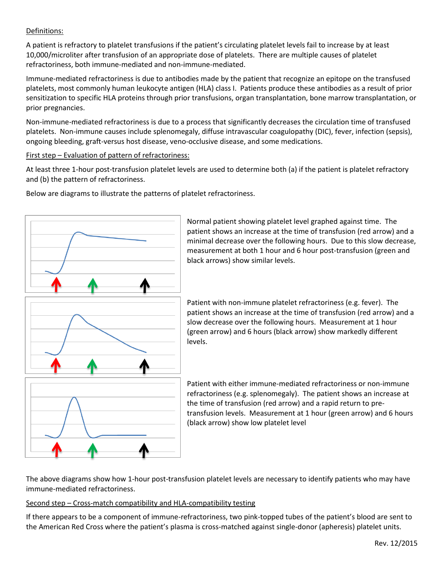## Definitions:

A patient is refractory to platelet transfusions if the patient's circulating platelet levels fail to increase by at least 10,000/microliter after transfusion of an appropriate dose of platelets. There are multiple causes of platelet refractoriness, both immune-mediated and non-immune-mediated.

Immune-mediated refractoriness is due to antibodies made by the patient that recognize an epitope on the transfused platelets, most commonly human leukocyte antigen (HLA) class I. Patients produce these antibodies as a result of prior sensitization to specific HLA proteins through prior transfusions, organ transplantation, bone marrow transplantation, or prior pregnancies.

Non-immune-mediated refractoriness is due to a process that significantly decreases the circulation time of transfused platelets. Non-immune causes include splenomegaly, diffuse intravascular coagulopathy (DIC), fever, infection (sepsis), ongoing bleeding, graft-versus host disease, veno-occlusive disease, and some medications.

First step – Evaluation of pattern of refractoriness:

At least three 1-hour post-transfusion platelet levels are used to determine both (a) if the patient is platelet refractory and (b) the pattern of refractoriness.

Below are diagrams to illustrate the patterns of platelet refractoriness.



Normal patient showing platelet level graphed against time. The patient shows an increase at the time of transfusion (red arrow) and a minimal decrease over the following hours. Due to this slow decrease, measurement at both 1 hour and 6 hour post-transfusion (green and black arrows) show similar levels.

Patient with non-immune platelet refractoriness (e.g. fever). The patient shows an increase at the time of transfusion (red arrow) and a slow decrease over the following hours. Measurement at 1 hour (green arrow) and 6 hours (black arrow) show markedly different levels.

Patient with either immune-mediated refractoriness or non-immune refractoriness (e.g. splenomegaly). The patient shows an increase at the time of transfusion (red arrow) and a rapid return to pretransfusion levels. Measurement at 1 hour (green arrow) and 6 hours (black arrow) show low platelet level

The above diagrams show how 1-hour post-transfusion platelet levels are necessary to identify patients who may have immune-mediated refractoriness.

## Second step – Cross-match compatibility and HLA-compatibility testing

If there appears to be a component of immune-refractoriness, two pink-topped tubes of the patient's blood are sent to the American Red Cross where the patient's plasma is cross-matched against single-donor (apheresis) platelet units.